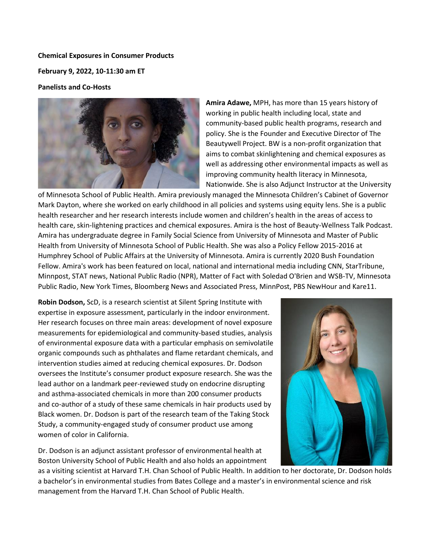**Chemical Exposures in Consumer Products**

**February 9, 2022, 10-11:30 am ET**

## **Panelists and Co-Hosts**



**Amira Adawe,** MPH, has more than 15 years history of working in public health including local, state and community-based public health programs, research and policy. She is the Founder and Executive Director of The Beautywell Project. BW is a non-profit organization that aims to combat skinlightening and chemical exposures as well as addressing other environmental impacts as well as improving community health literacy in Minnesota, Nationwide. She is also Adjunct Instructor at the University

of Minnesota School of Public Health. Amira previously managed the Minnesota Children's Cabinet of Governor Mark Dayton, where she worked on early childhood in all policies and systems using equity lens. She is a public health researcher and her research interests include women and children's health in the areas of access to health care, skin-lightening practices and chemical exposures. Amira is the host of Beauty-Wellness Talk Podcast. Amira has undergraduate degree in Family Social Science from University of Minnesota and Master of Public Health from University of Minnesota School of Public Health. She was also a Policy Fellow 2015-2016 at Humphrey School of Public Affairs at the University of Minnesota. Amira is currently 2020 Bush Foundation Fellow. Amira's work has been featured on local, national and international media including CNN, StarTribune, Minnpost, STAT news, National Public Radio (NPR), Matter of Fact with Soledad O'Brien and WSB-TV, Minnesota Public Radio, New York Times, Bloomberg News and Associated Press, MinnPost, PBS NewHour and Kare11.

**Robin Dodson,** ScD, is a research scientist at Silent Spring Institute with expertise in exposure assessment, particularly in the indoor environment. Her research focuses on three main areas: development of novel exposure measurements for epidemiological and community-based studies, analysis of environmental exposure data with a particular emphasis on semivolatile organic compounds such as phthalates and flame retardant chemicals, and intervention studies aimed at reducing chemical exposures. Dr. Dodson oversees the Institute's consumer product exposure research. She was the lead author on a landmark peer-reviewed study on endocrine disrupting and asthma-associated chemicals in more than 200 consumer products and co-author of a study of these same chemicals in hair products used by Black women. Dr. Dodson is part of the research team of the Taking Stock Study, a community-engaged study of consumer product use among women of color in California.

Dr. Dodson is an adjunct assistant professor of environmental health at Boston University School of Public Health and also holds an appointment



as a visiting scientist at Harvard T.H. Chan School of Public Health. In addition to her doctorate, Dr. Dodson holds a bachelor's in environmental studies from Bates College and a master's in environmental science and risk management from the Harvard T.H. Chan School of Public Health.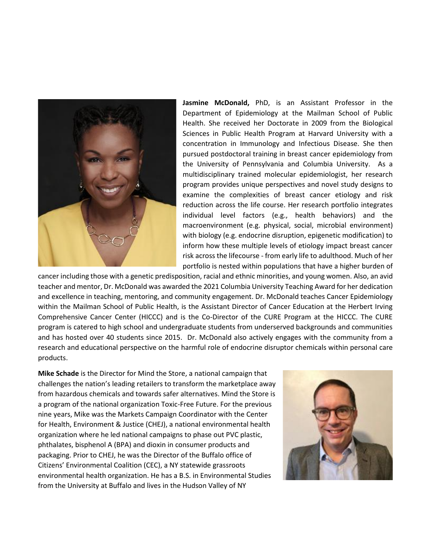

**Jasmine McDonald,** PhD, is an Assistant Professor in the Department of Epidemiology at the Mailman School of Public Health. She received her Doctorate in 2009 from the Biological Sciences in Public Health Program at Harvard University with a concentration in Immunology and Infectious Disease. She then pursued postdoctoral training in breast cancer epidemiology from the University of Pennsylvania and Columbia University. As a multidisciplinary trained molecular epidemiologist, her research program provides unique perspectives and novel study designs to examine the complexities of breast cancer etiology and risk reduction across the life course. Her research portfolio integrates individual level factors (e.g., health behaviors) and the macroenvironment (e.g. physical, social, microbial environment) with biology (e.g. endocrine disruption, epigenetic modification) to inform how these multiple levels of etiology impact breast cancer risk across the lifecourse - from early life to adulthood. Much of her portfolio is nested within populations that have a higher burden of

cancer including those with a genetic predisposition, racial and ethnic minorities, and young women. Also, an avid teacher and mentor, Dr. McDonald was awarded the 2021 Columbia University Teaching Award for her dedication and excellence in teaching, mentoring, and community engagement. Dr. McDonald teaches Cancer Epidemiology within the Mailman School of Public Health, is the Assistant Director of Cancer Education at the Herbert Irving Comprehensive Cancer Center (HICCC) and is the Co-Director of the CURE Program at the HICCC. The CURE program is catered to high school and undergraduate students from underserved backgrounds and communities and has hosted over 40 students since 2015. Dr. McDonald also actively engages with the community from a research and educational perspective on the harmful role of endocrine disruptor chemicals within personal care products.

**Mike Schade** is the Director for Mind the Store, a national campaign that challenges the nation's leading retailers to transform the marketplace away from hazardous chemicals and towards safer alternatives. Mind the Store is a program of the national organization Toxic-Free Future. For the previous nine years, Mike was the Markets Campaign Coordinator with the Center for Health, Environment & Justice (CHEJ), a national environmental health organization where he led national campaigns to phase out PVC plastic, phthalates, bisphenol A (BPA) and dioxin in consumer products and packaging. Prior to CHEJ, he was the Director of the Buffalo office of Citizens' Environmental Coalition (CEC), a NY statewide grassroots environmental health organization. He has a B.S. in Environmental Studies from the University at Buffalo and lives in the Hudson Valley of NY